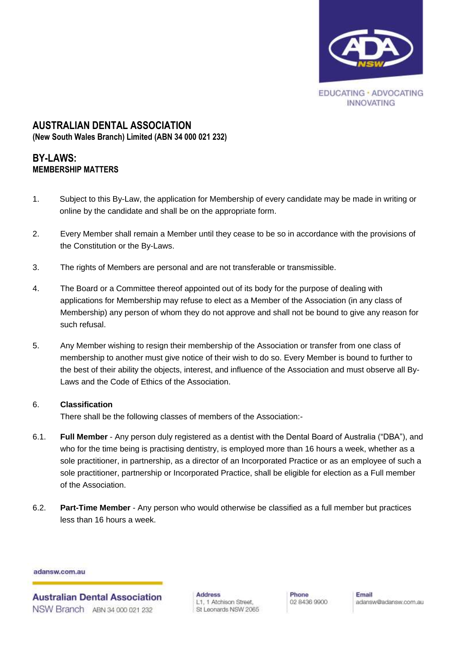

# **AUSTRALIAN DENTAL ASSOCIATION (New South Wales Branch) Limited (ABN 34 000 021 232)**

# **BY-LAWS: MEMBERSHIP MATTERS**

- 1. Subject to this By-Law, the application for Membership of every candidate may be made in writing or online by the candidate and shall be on the appropriate form.
- 2. Every Member shall remain a Member until they cease to be so in accordance with the provisions of the Constitution or the By-Laws.
- 3. The rights of Members are personal and are not transferable or transmissible.
- 4. The Board or a Committee thereof appointed out of its body for the purpose of dealing with applications for Membership may refuse to elect as a Member of the Association (in any class of Membership) any person of whom they do not approve and shall not be bound to give any reason for such refusal.
- 5. Any Member wishing to resign their membership of the Association or transfer from one class of membership to another must give notice of their wish to do so. Every Member is bound to further to the best of their ability the objects, interest, and influence of the Association and must observe all By-Laws and the Code of Ethics of the Association.

# 6. **Classification**

There shall be the following classes of members of the Association:-

- 6.1. **Full Member** Any person duly registered as a dentist with the Dental Board of Australia ("DBA"), and who for the time being is practising dentistry, is employed more than 16 hours a week, whether as a sole practitioner, in partnership, as a director of an Incorporated Practice or as an employee of such a sole practitioner, partnership or Incorporated Practice, shall be eligible for election as a Full member of the Association.
- 6.2. **Part-Time Member**  Any person who would otherwise be classified as a full member but practices less than 16 hours a week.

adansw.com.au

**Australian Dental Association** NSW Branch ABN 34,000,021,232

**Address** L1, 1 Atchison Street, St Leonards NSW 2065 Phone 02 8436 9900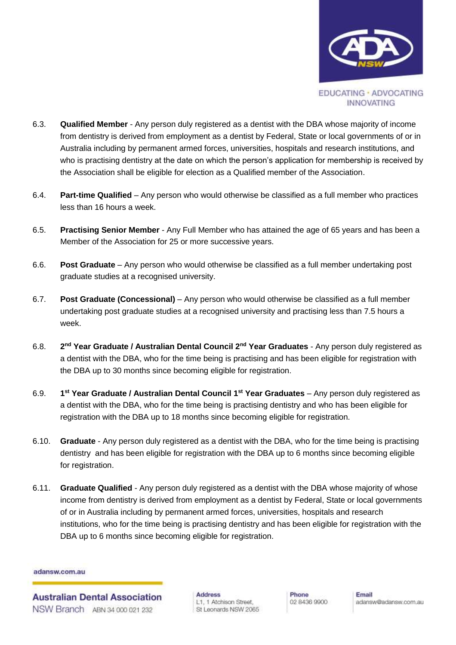

- 6.3. **Qualified Member** Any person duly registered as a dentist with the DBA whose majority of income from dentistry is derived from employment as a dentist by Federal, State or local governments of or in Australia including by permanent armed forces, universities, hospitals and research institutions, and who is practising dentistry at the date on which the person's application for membership is received by the Association shall be eligible for election as a Qualified member of the Association.
- 6.4. **Part-time Qualified** Any person who would otherwise be classified as a full member who practices less than 16 hours a week.
- 6.5. **Practising Senior Member** Any Full Member who has attained the age of 65 years and has been a Member of the Association for 25 or more successive years.
- 6.6. **Post Graduate** Any person who would otherwise be classified as a full member undertaking post graduate studies at a recognised university.
- 6.7. **Post Graduate (Concessional)** Any person who would otherwise be classified as a full member undertaking post graduate studies at a recognised university and practising less than 7.5 hours a week.
- 6.8. **2** 2<sup>nd</sup> **Year Graduate / Australian Dental Council 2<sup>nd</sup> Year Graduates** - Any person duly registered as a dentist with the DBA, who for the time being is practising and has been eligible for registration with the DBA up to 30 months since becoming eligible for registration.
- 6.9. **1** <sup>st</sup> Year Graduate / Australian Dental Council 1<sup>st</sup> Year Graduates – Any person duly registered as a dentist with the DBA, who for the time being is practising dentistry and who has been eligible for registration with the DBA up to 18 months since becoming eligible for registration.
- 6.10. **Graduate** Any person duly registered as a dentist with the DBA, who for the time being is practising dentistry and has been eligible for registration with the DBA up to 6 months since becoming eligible for registration.
- 6.11. **Graduate Qualified** Any person duly registered as a dentist with the DBA whose majority of whose income from dentistry is derived from employment as a dentist by Federal, State or local governments of or in Australia including by permanent armed forces, universities, hospitals and research institutions, who for the time being is practising dentistry and has been eligible for registration with the DBA up to 6 months since becoming eligible for registration.

**Australian Dental Association** NSW Branch ABN 34 000 021 232

**Address** L1, 1 Atchison Street, St Leonards NSW 2065 Phone 02 8436 9900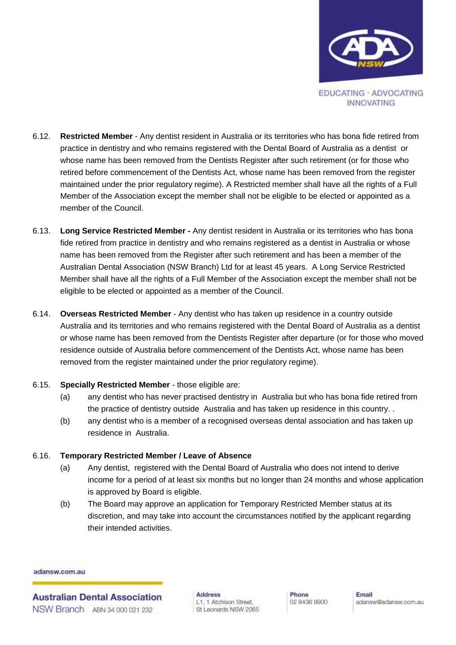

- 6.12. **Restricted Member** Any dentist resident in Australia or its territories who has bona fide retired from practice in dentistry and who remains registered with the Dental Board of Australia as a dentist or whose name has been removed from the Dentists Register after such retirement (or for those who retired before commencement of the Dentists Act, whose name has been removed from the register maintained under the prior regulatory regime). A Restricted member shall have all the rights of a Full Member of the Association except the member shall not be eligible to be elected or appointed as a member of the Council.
- 6.13. **Long Service Restricted Member -** Any dentist resident in Australia or its territories who has bona fide retired from practice in dentistry and who remains registered as a dentist in Australia or whose name has been removed from the Register after such retirement and has been a member of the Australian Dental Association (NSW Branch) Ltd for at least 45 years. A Long Service Restricted Member shall have all the rights of a Full Member of the Association except the member shall not be eligible to be elected or appointed as a member of the Council.
- 6.14. **Overseas Restricted Member** Any dentist who has taken up residence in a country outside Australia and its territories and who remains registered with the Dental Board of Australia as a dentist or whose name has been removed from the Dentists Register after departure (or for those who moved residence outside of Australia before commencement of the Dentists Act, whose name has been removed from the register maintained under the prior regulatory regime).
- 6.15. **Specially Restricted Member** those eligible are:
	- (a) any dentist who has never practised dentistry in Australia but who has bona fide retired from the practice of dentistry outside Australia and has taken up residence in this country. .
	- (b) any dentist who is a member of a recognised overseas dental association and has taken up residence in Australia.

# 6.16. **Temporary Restricted Member / Leave of Absence**

- (a) Any dentist, registered with the Dental Board of Australia who does not intend to derive income for a period of at least six months but no longer than 24 months and whose application is approved by Board is eligible.
- (b) The Board may approve an application for Temporary Restricted Member status at its discretion, and may take into account the circumstances notified by the applicant regarding their intended activities.

adansw.com.au

**Australian Dental Association** NSW Branch ABN 34 000 021 232

**Address** L1, 1 Atchison Street, St Leonards NSW 2065 Phone 02 8436 9900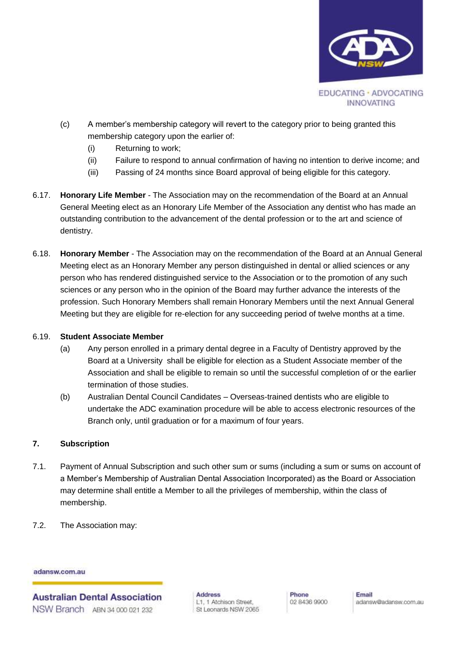

- (c) A member's membership category will revert to the category prior to being granted this membership category upon the earlier of:
	- (i) Returning to work;
	- (ii) Failure to respond to annual confirmation of having no intention to derive income; and
	- (iii) Passing of 24 months since Board approval of being eligible for this category.
- 6.17. **Honorary Life Member** The Association may on the recommendation of the Board at an Annual General Meeting elect as an Honorary Life Member of the Association any dentist who has made an outstanding contribution to the advancement of the dental profession or to the art and science of dentistry.
- 6.18. **Honorary Member** The Association may on the recommendation of the Board at an Annual General Meeting elect as an Honorary Member any person distinguished in dental or allied sciences or any person who has rendered distinguished service to the Association or to the promotion of any such sciences or any person who in the opinion of the Board may further advance the interests of the profession. Such Honorary Members shall remain Honorary Members until the next Annual General Meeting but they are eligible for re-election for any succeeding period of twelve months at a time.

#### 6.19. **Student Associate Member**

- (a) Any person enrolled in a primary dental degree in a Faculty of Dentistry approved by the Board at a University shall be eligible for election as a Student Associate member of the Association and shall be eligible to remain so until the successful completion of or the earlier termination of those studies.
- (b) Australian Dental Council Candidates Overseas-trained dentists who are eligible to undertake the ADC examination procedure will be able to access electronic resources of the Branch only, until graduation or for a maximum of four years.

# **7. Subscription**

- 7.1. Payment of Annual Subscription and such other sum or sums (including a sum or sums on account of a Member's Membership of Australian Dental Association Incorporated) as the Board or Association may determine shall entitle a Member to all the privileges of membership, within the class of membership.
- 7.2. The Association may:

#### adansw.com.au

**Australian Dental Association** NSW Branch ABN 34,000,021,232

**Address** L1, 1 Atchison Street, St Leonards NSW 2065 Phone 02 8436 9900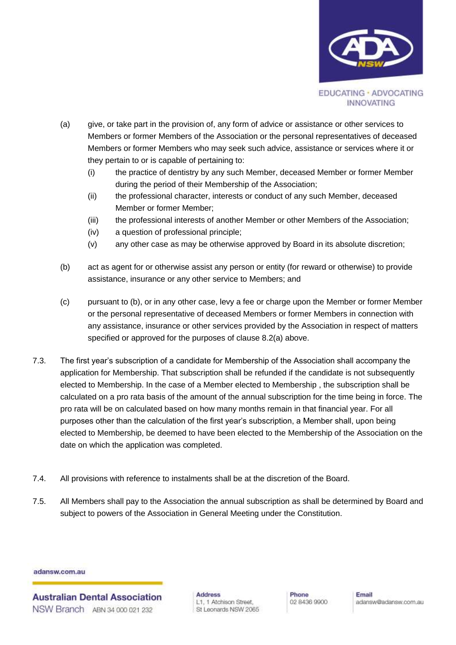

- <span id="page-4-0"></span>(a) give, or take part in the provision of, any form of advice or assistance or other services to Members or former Members of the Association or the personal representatives of deceased Members or former Members who may seek such advice, assistance or services where it or they pertain to or is capable of pertaining to:
	- (i) the practice of dentistry by any such Member, deceased Member or former Member during the period of their Membership of the Association;
	- (ii) the professional character, interests or conduct of any such Member, deceased Member or former Member;
	- (iii) the professional interests of another Member or other Members of the Association;
	- (iv) a question of professional principle;
	- (v) any other case as may be otherwise approved by Board in its absolute discretion;
- (b) act as agent for or otherwise assist any person or entity (for reward or otherwise) to provide assistance, insurance or any other service to Members; and
- (c) pursuant to (b), or in any other case, levy a fee or charge upon the Member or former Member or the personal representative of deceased Members or former Members in connection with any assistance, insurance or other services provided by the Association in respect of matters specified or approved for the purposes of clause 8.[2\(a\)](#page-4-0) above.
- 7.3. The first year's subscription of a candidate for Membership of the Association shall accompany the application for Membership. That subscription shall be refunded if the candidate is not subsequently elected to Membership. In the case of a Member elected to Membership , the subscription shall be calculated on a pro rata basis of the amount of the annual subscription for the time being in force. The pro rata will be on calculated based on how many months remain in that financial year. For all purposes other than the calculation of the first year's subscription, a Member shall, upon being elected to Membership, be deemed to have been elected to the Membership of the Association on the date on which the application was completed.
- 7.4. All provisions with reference to instalments shall be at the discretion of the Board.
- 7.5. All Members shall pay to the Association the annual subscription as shall be determined by Board and subject to powers of the Association in General Meeting under the Constitution.

**Australian Dental Association** NSW Branch ABN 34 000 021 232

**Address** L1, 1 Atchison Street, St Leonards NSW 2065 Phone 02 8436 9900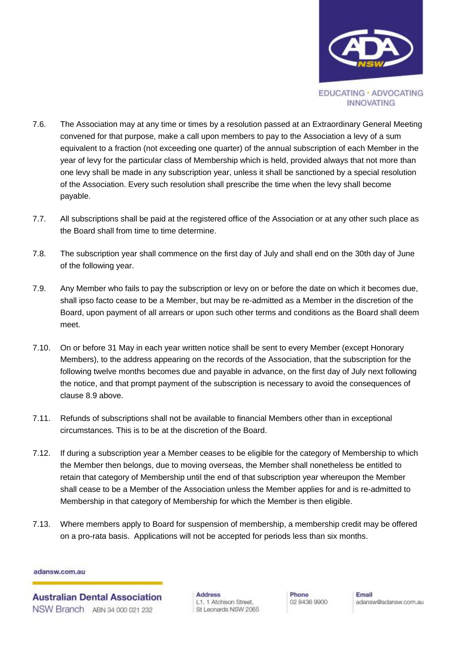

- 7.6. The Association may at any time or times by a resolution passed at an Extraordinary General Meeting convened for that purpose, make a call upon members to pay to the Association a levy of a sum equivalent to a fraction (not exceeding one quarter) of the annual subscription of each Member in the year of levy for the particular class of Membership which is held, provided always that not more than one levy shall be made in any subscription year, unless it shall be sanctioned by a special resolution of the Association. Every such resolution shall prescribe the time when the levy shall become payable.
- 7.7. All subscriptions shall be paid at the registered office of the Association or at any other such place as the Board shall from time to time determine.
- 7.8. The subscription year shall commence on the first day of July and shall end on the 30th day of June of the following year.
- 7.9. Any Member who fails to pay the subscription or levy on or before the date on which it becomes due, shall ipso facto cease to be a Member, but may be re-admitted as a Member in the discretion of the Board, upon payment of all arrears or upon such other terms and conditions as the Board shall deem meet.
- 7.10. On or before 31 May in each year written notice shall be sent to every Member (except Honorary Members), to the address appearing on the records of the Association, that the subscription for the following twelve months becomes due and payable in advance, on the first day of July next following the notice, and that prompt payment of the subscription is necessary to avoid the consequences of clause 8.9 above.
- 7.11. Refunds of subscriptions shall not be available to financial Members other than in exceptional circumstances. This is to be at the discretion of the Board.
- 7.12. If during a subscription year a Member ceases to be eligible for the category of Membership to which the Member then belongs, due to moving overseas, the Member shall nonetheless be entitled to retain that category of Membership until the end of that subscription year whereupon the Member shall cease to be a Member of the Association unless the Member applies for and is re-admitted to Membership in that category of Membership for which the Member is then eligible.
- 7.13. Where members apply to Board for suspension of membership, a membership credit may be offered on a pro-rata basis. Applications will not be accepted for periods less than six months.

**Australian Dental Association** NSW Branch ABN 34,000,021,232

**Address** L1, 1 Atchison Street, St Leonards NSW 2065 Phone 02 8436 9900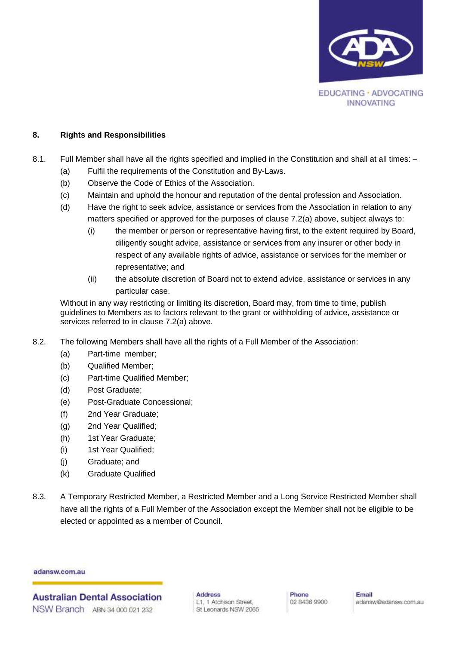

### **8. Rights and Responsibilities**

- 8.1. Full Member shall have all the rights specified and implied in the Constitution and shall at all times:
	- (a) Fulfil the requirements of the Constitution and By-Laws.
	- (b) Observe the Code of Ethics of the Association.
	- (c) Maintain and uphold the honour and reputation of the dental profession and Association.
	- (d) Have the right to seek advice, assistance or services from the Association in relation to any matters specified or approved for the purposes of clause [7.2\(a\)](#page-4-0) above, subject always to:
		- (i) the member or person or representative having first, to the extent required by Board, diligently sought advice, assistance or services from any insurer or other body in respect of any available rights of advice, assistance or services for the member or representative; and
		- (ii) the absolute discretion of Board not to extend advice, assistance or services in any particular case.

Without in any way restricting or limiting its discretion, Board may, from time to time, publish guidelines to Members as to factors relevant to the grant or withholding of advice, assistance or services referred to in clause [7.2\(a\)](#page-4-0) above.

- 8.2. The following Members shall have all the rights of a Full Member of the Association:
	- (a) Part-time member;
	- (b) Qualified Member;
	- (c) Part-time Qualified Member;
	- (d) Post Graduate;
	- (e) Post-Graduate Concessional;
	- (f) 2nd Year Graduate;
	- (g) 2nd Year Qualified;
	- (h) 1st Year Graduate;
	- (i) 1st Year Qualified;
	- (j) Graduate; and
	- (k) Graduate Qualified
- 8.3. A Temporary Restricted Member, a Restricted Member and a Long Service Restricted Member shall have all the rights of a Full Member of the Association except the Member shall not be eligible to be elected or appointed as a member of Council.

adansw.com.au

**Australian Dental Association** NSW Branch ABN 34 000 021 232

**Address** L1, 1 Atchison Street, St Leonards NSW 2065 Phone 02 8436 9900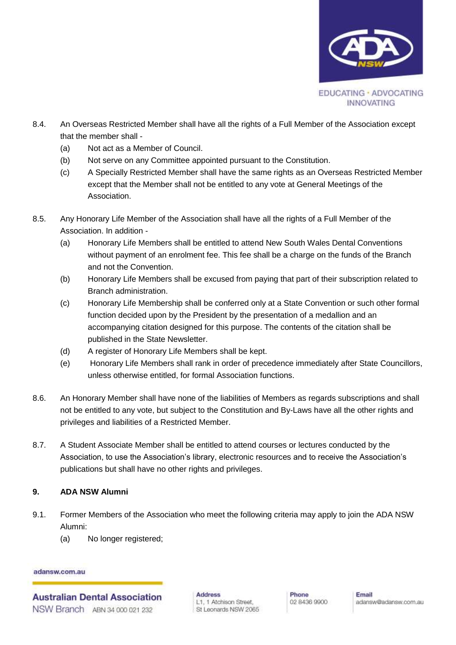

- 8.4. An Overseas Restricted Member shall have all the rights of a Full Member of the Association except that the member shall -
	- (a) Not act as a Member of Council.
	- (b) Not serve on any Committee appointed pursuant to the Constitution.
	- (c) A Specially Restricted Member shall have the same rights as an Overseas Restricted Member except that the Member shall not be entitled to any vote at General Meetings of the Association.
- 8.5. Any Honorary Life Member of the Association shall have all the rights of a Full Member of the Association. In addition -
	- (a) Honorary Life Members shall be entitled to attend New South Wales Dental Conventions without payment of an enrolment fee. This fee shall be a charge on the funds of the Branch and not the Convention.
	- (b) Honorary Life Members shall be excused from paying that part of their subscription related to Branch administration.
	- (c) Honorary Life Membership shall be conferred only at a State Convention or such other formal function decided upon by the President by the presentation of a medallion and an accompanying citation designed for this purpose. The contents of the citation shall be published in the State Newsletter.
	- (d) A register of Honorary Life Members shall be kept.
	- (e) Honorary Life Members shall rank in order of precedence immediately after State Councillors, unless otherwise entitled, for formal Association functions.
- 8.6. An Honorary Member shall have none of the liabilities of Members as regards subscriptions and shall not be entitled to any vote, but subject to the Constitution and By-Laws have all the other rights and privileges and liabilities of a Restricted Member.
- 8.7. A Student Associate Member shall be entitled to attend courses or lectures conducted by the Association, to use the Association's library, electronic resources and to receive the Association's publications but shall have no other rights and privileges.

# **9. ADA NSW Alumni**

- 9.1. Former Members of the Association who meet the following criteria may apply to join the ADA NSW Alumni:
	- (a) No longer registered;

adansw.com.au

**Australian Dental Association** NSW Branch ABN 34 000 021 232

**Address** L1, 1 Atchison Street, St Leonards NSW 2065 Phone 02 8436 9900